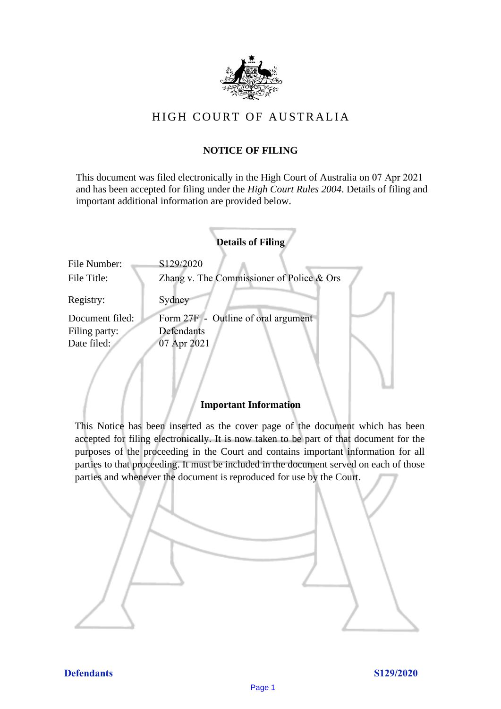

# HIGH COURT OF AU STRALIA HIGH COURT OF AUSTRALIA

## **NOTICE OF FILING** NOTICE OF FILING

This document was filed electronically in the High Court of Australia on 07 Apr 2021 This document was filed electronically in the High Court of Australia <sup>21</sup> and has been accepted for filing under the *High Court Rules 2004*. Details of filing and important additional information are provided below. important additional information are provided below.

|                             | <b>Details of Filing</b>                               |
|-----------------------------|--------------------------------------------------------|
| File Number:<br>File Title: | S129/2020<br>Zhang v. The Commissioner of Police & Ors |
| Registry:                   | Sydney                                                 |
| Document filed:             | Form 27F - Outline of oral argument                    |
| Filing party:               | Defendants                                             |
| Date filed:                 | 07 Apr 2021                                            |
|                             |                                                        |

### **Important Information** Important Information

This Notice has been inserted as the cover page of the document which has been accepted for filing electronically. It is now taken to be part of that document for the purposes of the proceeding in the Court and contains important information for all parties to that proceeding. It must be included in the document served on each of those parties and whenever the document is reproduced for use by the Court. parties and whenever the document is reproduced for use by the Court

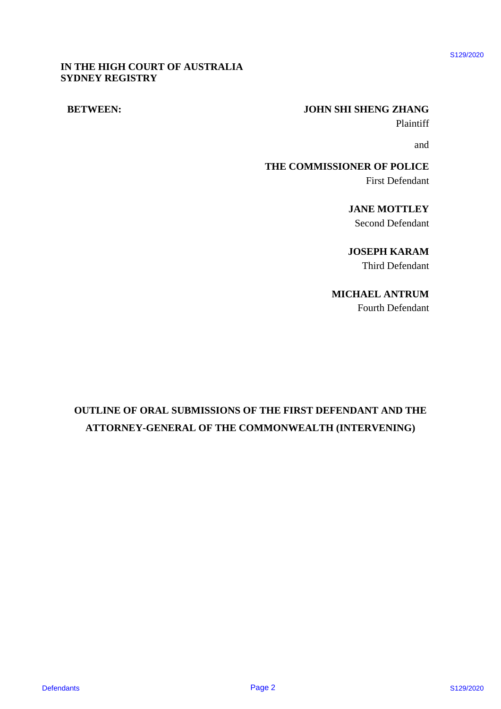### **IN THE HIGH COURT OF AUSTRALIA** IN THE HIGH COURT OF AUSTRALIA **SYDNEY REGISTRY** SYDNEY REGISTRY

### **BETWEEN: JOHN SHI SHENG ZHANG** BETWEEN: JOHN SHI SHENG ZHANG

Plaintiff Plaintiff

and and

**THE COMMISSIONER OF POLICE** THE COMMISSIONER OF POLICE First Defendant First Defendant

> **JANE MOTTLEY** JANE MOTTLEY Second Defendant Second Defendant

**JOSEPH KARAM** JOSEPH KARAM Third Defendant Third Defendant

### **MICHAEL ANTRUM** MICHAEL ANTRUM

Fourth Defendant Fourth Defendant

# **OUTLINE OF ORAL SUBMISSIONS OF THE FIRST DEFENDANT AND THE**  OUTLINE OF ORAL SUBMISSIONS OF THE FIRST DEFENDANT AND THE **ATTORNEY-GENERAL OF THE COMMONWEALTH (INTERVENING)** ATTORNEY-GENERAL OF THE COMMONWEALTH (INTERVENING) DETWEEN:<br>
DETWEEN:<br>
DETWEEN:<br>
DETWEEN:<br>
DETWEEN:<br>
DETWEEN:<br>
DETWEEN:<br>
DETWEEN:<br>
DETWEEN:<br>
DETWEEN:<br>
DETWEEN:<br>
DETWEEN:<br>
DETWEEN:<br>
DETWEEN STAND DETWEEN<br>
DETWEEN:<br>
DETWEEN:<br>
DETWEEN:<br>
DETWEEN:<br>
OUTTINE: OF ORAL SUBMISSIONS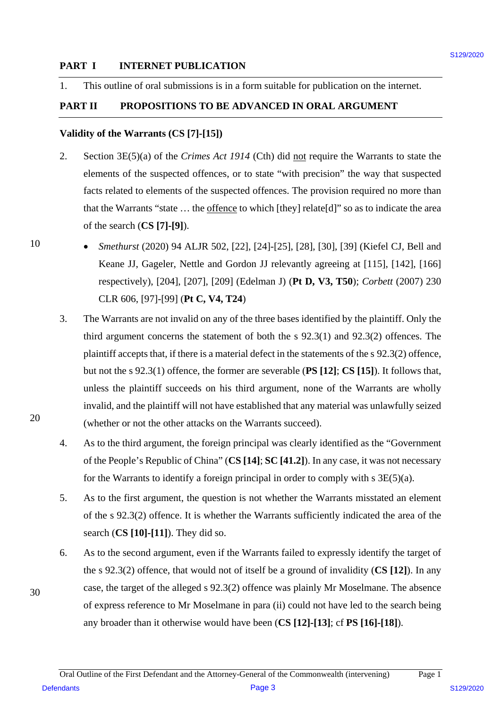### **PART I INTERNET PUBLICATION** PART I INTERNET PUBLICATION

1. This outline of oral submissions is in a form suitable for publication on the internet. 1. This outline of oral submissions is in <sup>a</sup> form suitable for publication on the internet.

### **PART II PROPOSITIONS TO BE ADVANCED IN ORAL ARGUMENT** PART II PROPOSITIONS TO BE ADVANCED IN ORAL ARGUMENT

### **Validity of the Warrants (CS [7]-[15])** Validity of the Warrants (CS [7]-[15])

- 2. Section 3E(5)(a) of the *Crimes Act 1914* (Cth) did <u>not</u> require the Warrants to state the elements of the suspected offences, or to state "with precision" the way that suspected elements of the suspected offences, or to state "with precision" the way that suspected facts related to elements of the suspected offences. The provision required no more than facts related to elements of the suspected offences. The provision required no more than that the Warrants "state ... the offence to which [they] relate[d]" so as to indicate the area of the search (**CS [7]-[9]**). of the search (CS [7]-[9]). 2.
- *Smethurst* (2020) 94 ALJR 502, [22], [24]-[25], [28], [30], [39] (Kiefel CJ, Bell and <sup>e</sup> Smethurst (2020) 94 ALJR 502, [22], [24]-[25], [28], [30], [39] (Kiefel CJ, Bell and Keane JJ, Gageler, Nettle and Gordon JJ relevantly agreeing at [115], [142], [166] Keane JJ, Gageler, Nettle and Gordon JJ relevantly agreeing at [115], [142], [166] respectively), [204], [207], [209] (Edelman J) (**Pt D, V3, T50**); *Corbett* (2007) 230 respectively), [204], [207], [209] (Edelman J) (Pt D, V3, T50); Corbett (2007) 230 CLR 606, [97]-[99] (**Pt C, V4, T24**) CLR 606, [97]-[99] (Pt C, V4, T24)
- 3. The Warrants are not invalid on any of the three bases identified by the plaintiff. Only the The Warrants are not invalid on any of the three bases identified by the plaintiff. Only the third argument concerns the statement of both the  $s$  92.3(1) and 92.3(2) offences. The plaintiff accepts that, if there is a material defect in the statements of the s 92.3(2) offence, but not the s 92.3(1) offence, the former are severable (**PS [12]**; **CS [15]**). It follows that, but not the <sup>s</sup> 92.3(1) offence, the former are severable (PS [12]; CS [15]). It follows that, unless the plaintiff succeeds on his third argument, none of the Warrants are wholly unless the plaintiff succeeds on his third argument, none of the Warrants are wholly invalid, and the plaintiff will not have established that any material was unlawfully seized invalid, and the plaintiff will not have established that any material was unlawfully seized (whether or not the other attacks on the Warrants succeed). (whether or not the other attacks on the Warrants succeed). **PART 1 EVITERNET PEIRLICATION**<br>
1. This ordina of conditions is in a form with the formulation on the internet.<br>
1. This ordina of conditions S120 in formula and the Vietname site of the internet CSI (THIS)<br>
2. Section
	- 4. As to the third argument, the foreign principal was clearly identified as the "Government As to the third argument, the foreign principal was clearly identified as the "Government of the People's Republic of China" (**CS [14]**; **SC [41.2]**). In any case, it was not necessary of the People's Republic of China" (CS [14]; SC [41.2]). In any case, it was not necessary for the Warrants to identify a foreign principal in order to comply with s 3E(5)(a). for the Warrants to identify <sup>a</sup> foreign principal in order to comply with <sup>s</sup> 3E(5)(a).
	- 5. As to the first argument, the question is not whether the Warrants misstated an element As to the first argument, the question is not whether the Warrants misstated an element of the  $s$  92.3(2) offence. It is whether the Warrants sufficiently indicated the area of the search (**CS [10]-[11]**). They did so. search (CS [10]-[11]). They did so.
	- 6. As to the second argument, even if the Warrants failed to expressly identify the target of As to the second argument, even if the Warrants failed to expressly identify the target of the s 92.3(2) offence, that would not of itself be a ground of invalidity (**CS [12]**). In any the <sup>s</sup> 92.3(2) offence, that would not of itself be <sup>a</sup> ground of invalidity (CS [12]). In any case, the target of the alleged s 92.3(2) offence was plainly Mr Moselmane. The absence case, the target of the alleged <sup>s</sup> 92.3(2) offence was plainly Mr Moselmane. The absence of express reference to Mr Moselmane in para (ii) could not have led to the search being of express reference to Mr Moselmane in para (ii) could not have led to the search being any broader than it otherwise would have been (**CS [12]-[13]**; cf **PS [16]-[18]**). any broader than it otherwise would have been (CS [12]-[13]; cf PS [16]-[18]).

10 10

20 20

30 30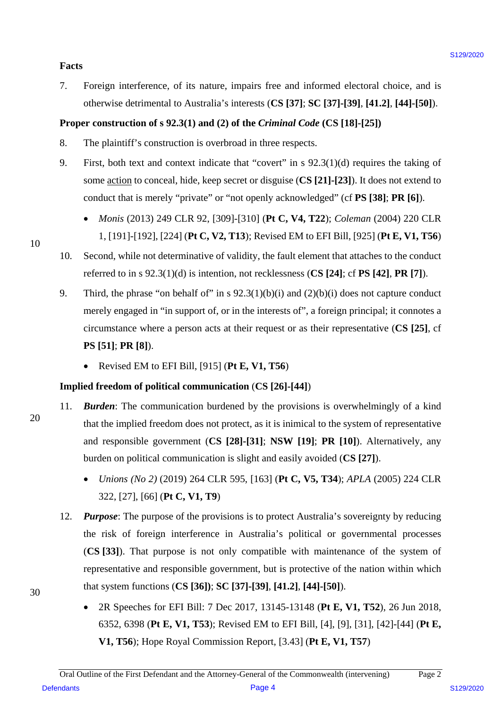### **Facts** Facts

7. Foreign interference, of its nature, impairs free and informed electoral choice, and is 7. Foreign interference, of its nature, impairs free and informed electoral choice, and is otherwise detrimental to Australia's interests (**CS [37]**; **SC [37]-[39]**, **[41.2]**, **[44]-[50]**). otherwise detrimental to Australia's interests (CS [37]; SC [37]-[39], [41.2], [44]-[50]).

### **Proper construction of s 92.3(1) and (2) of the** *Criminal Code* **(CS [18]-[25])** Proper construction of <sup>s</sup> 92.3(1) and (2) of the Criminal Code (CS [18]-[25])

- 8. The plaintiff's construction is overbroad in three respects.
- 9. First, both text and context indicate that "covert" in s 92.3(1)(d) requires the taking of 9. First, both text and context indicate that "covert" in <sup>s</sup> 92.3(1)(d) requires the taking of some **action** to conceal, hide, keep secret or disguise (CS [21]-[23]). It does not extend to conduct that is merely "private" or "not openly acknowledged" (cf **PS [38]**; **PR [6]**). conduct that is merely "private" or "not openly acknowledged" (cf PS [38]; PR [6]).
	- *Monis* (2013) 249 CLR 92, [309]-[310] (**Pt C, V4, T22**); *Coleman* (2004) 220 CLR Monis (2013) 249 CLR 92, [309]-[310] (Pt C, V4, T22); Coleman (2004) 220 CLR 1, [191]-[192], [224] (**Pt C, V2, T13**); Revised EM to EFI Bill, [925] (**Pt E, V1, T56**) 1,[191]-[192], [224] (Pt C, V2, T13); Revised EM to EFI Bill, [925] (Pt E, V1, T56)
- 10. Second, while not determinative of validity, the fault element that attaches to the conduct 10. Second, while not determinative of validity, the fault element that attaches to the conduct referred to in s 92.3(1)(d) is intention, not recklessness (**CS [24]**; cf **PS [42]**, **PR [7]**). referred to in <sup>s</sup> 92.3(1)(d) is intention, not recklessness (CS [24]; cf PS [42], PR [7]).
- 9. Third, the phrase "on behalf of" in s  $92.3(1)(b)(i)$  and  $(2)(b)(i)$  does not capture conduct merely engaged in "in support of, or in the interests of", a foreign principal; it connotes a merely engaged in "in support of, or in the interests of', a foreign principal; it connotes a circumstance where a person acts at their request or as their representative (**CS [25]**, cf circumstance where a person acts at their request or as their representative (CS [25], cf **PS [51]**; **PR [8]**). PS [51]; PR [8]).
	- Revised EM to EFI Bill, [915] (**Pt E, V1, T56**) <sup>e</sup> Revised EM to EFI Bill, [915] (Pt E, V1, T56)

### **Implied freedom of political communication** (**CS [26]-[44]**) Implied freedom of political communication (CS [26]-[44])

- 11. **Burden:** The communication burdened by the provisions is overwhelmingly of a kind that the implied freedom does not protect, as it is inimical to the system of representative that the implied freedom does not protect, as it is inimical to the system of representative and responsible government (CS [28]-[31]; NSW [19]; PR [10]). Alternatively, any burden on political communication is slight and easily avoided (**CS [27]**). burden on political communication is slight and easily avoided (CS [27]).
	- *Unions (No 2)* (2019) 264 CLR 595, [163] (**Pt C, V5, T34**); *APLA* (2005) 224 CLR Unions (No 2) (2019) 264 CLR 595, [163] (Pt C, V5, T34); APLA (2005) 224 CLR 322, [27], [66] (**Pt C, V1, T9**) 322, [27], [66] (Pt C, V1, T9)
- 12. *Purpose*: The purpose of the provisions is to protect Australia's sovereignty by reducing 12. Purpose: The purpose of the provisions is to protect Australia's sovereignty by reducing the risk of foreign interference in Australia's political or governmental processes the risk of foreign interference in Australia's political or governmental processes (**CS [33]**). That purpose is not only compatible with maintenance of the system of (CS [33]). That purpose is not only compatible with maintenance of the system of representative and responsible government, but is protective of the nation within which that system functions (**CS [36])**; **SC [37]-[39]**, **[41.2]**, **[44]-[50]**). that system functions (CS [36]); SC [37]-[39], [41.2], [44]-[50]).Finds<br>
7. Uning interferons, of its source, impures from and informed electrical choics, and sources<br>
2. Statewise detrimental to Asternalis's interests CS [37]; SC [37]-[49], [41,2], [44]-[59]).<br> **Proper construction of** 
	- 2R Speeches for EFI Bill: 7 Dec 2017, 13145-13148 (Pt E, V1, T52), 26 Jun 2018, 6352, 6398 (**Pt E, V1, T53**); Revised EM to EFI Bill, [4], [9], [31], [42]-[44] (**Pt E,**  6352, 6398 (Pt E, V1, T53); Revised EM to EFI Bill, [4], [9], [31], [42]-[44] (Pt E, **V1, T56**); Hope Royal Commission Report, [3.43] (**Pt E, V1, T57**) V1, T56); Hope Royal Commission Report,[3.43] (Pt E, V1, T57)

30 30

20 20

10 10